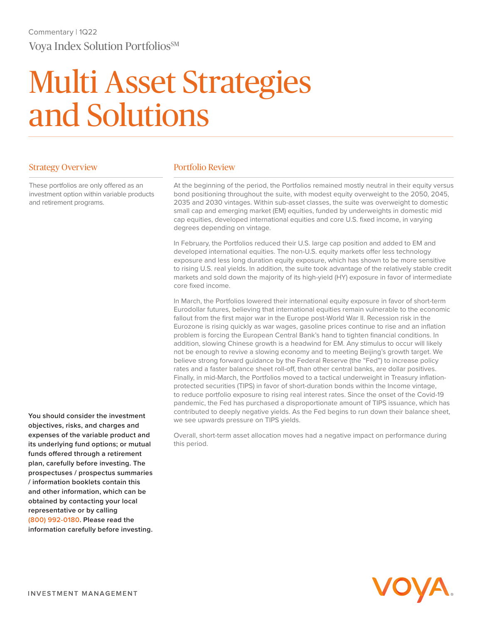## Multi Asset Strategies and Solutions

## Strategy Overview

These portfolios are only offered as an investment option within variable products and retirement programs.

**You should consider the investment objectives, risks, and charges and expenses of the variable product and its underlying fund options; or mutual funds offered through a retirement plan, carefully before investing. The prospectuses / prospectus summaries / information booklets contain this and other information, which can be obtained by contacting your local representative or by calling (800) 992-0180. Please read the information carefully before investing.**

## Portfolio Review

At the beginning of the period, the Portfolios remained mostly neutral in their equity versus bond positioning throughout the suite, with modest equity overweight to the 2050, 2045, 2035 and 2030 vintages. Within sub-asset classes, the suite was overweight to domestic small cap and emerging market (EM) equities, funded by underweights in domestic mid cap equities, developed international equities and core U.S. fixed income, in varying degrees depending on vintage.

In February, the Portfolios reduced their U.S. large cap position and added to EM and developed international equities. The non-U.S. equity markets offer less technology exposure and less long duration equity exposure, which has shown to be more sensitive to rising U.S. real yields. In addition, the suite took advantage of the relatively stable credit markets and sold down the majority of its high-yield (HY) exposure in favor of intermediate core fixed income.

In March, the Portfolios lowered their international equity exposure in favor of short-term Eurodollar futures, believing that international equities remain vulnerable to the economic fallout from the first major war in the Europe post-World War II. Recession risk in the Eurozone is rising quickly as war wages, gasoline prices continue to rise and an inflation problem is forcing the European Central Bank's hand to tighten financial conditions. In addition, slowing Chinese growth is a headwind for EM. Any stimulus to occur will likely not be enough to revive a slowing economy and to meeting Beijing's growth target. We believe strong forward guidance by the Federal Reserve (the "Fed") to increase policy rates and a faster balance sheet roll-off, than other central banks, are dollar positives. Finally, in mid-March, the Portfolios moved to a tactical underweight in Treasury inflationprotected securities (TIPS) in favor of short-duration bonds within the Income vintage, to reduce portfolio exposure to rising real interest rates. Since the onset of the Covid-19 pandemic, the Fed has purchased a disproportionate amount of TIPS issuance, which has contributed to deeply negative yields. As the Fed begins to run down their balance sheet, we see upwards pressure on TIPS yields.

Overall, short-term asset allocation moves had a negative impact on performance during this period.